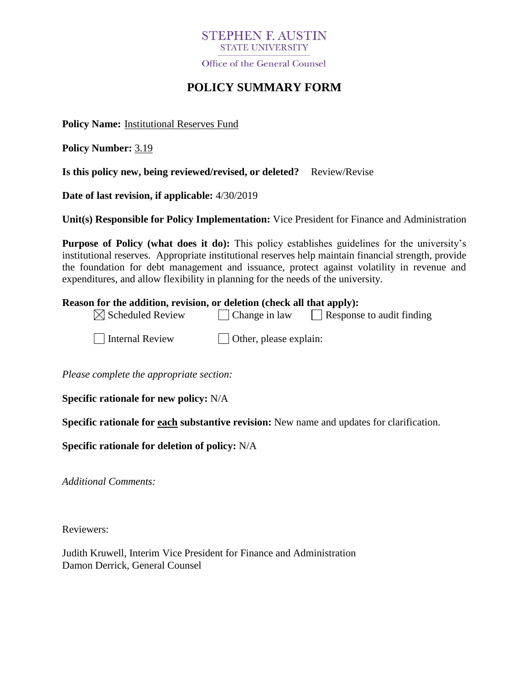## **STEPHEN F. AUSTIN STATE UNIVERSITY**

Office of the General Counsel

# **POLICY SUMMARY FORM**

**Policy Name:** Institutional Reserves Fund

**Policy Number:** 3.19

**Is this policy new, being reviewed/revised, or deleted?** Review/Revise

**Date of last revision, if applicable:** 4/30/2019

**Unit(s) Responsible for Policy Implementation:** Vice President for Finance and Administration

**Purpose of Policy (what does it do):** This policy establishes guidelines for the university's institutional reserves. Appropriate institutional reserves help maintain financial strength, provide the foundation for debt management and issuance, protect against volatility in revenue and expenditures, and allow flexibility in planning for the needs of the university.

#### **Reason for the addition, revision, or deletion (check all that apply):**

| $\boxtimes$ Scheduled Review | $\vert$ Change in law  | Response to audit finding |
|------------------------------|------------------------|---------------------------|
| Internal Review              | Other, please explain: |                           |

*Please complete the appropriate section:*

**Specific rationale for new policy:** N/A

**Specific rationale for each substantive revision:** New name and updates for clarification.

**Specific rationale for deletion of policy:** N/A

*Additional Comments:*

Reviewers:

Judith Kruwell, Interim Vice President for Finance and Administration Damon Derrick, General Counsel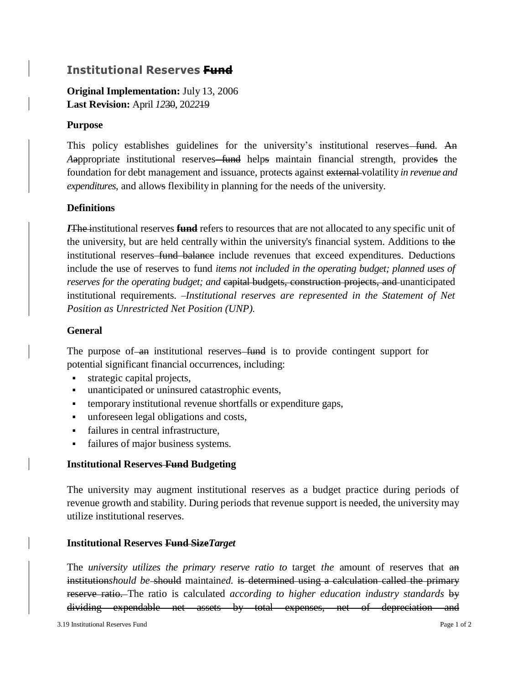## **Institutional Reserves Fund**

**Original Implementation:** July 13, 2006 **Last Revision:** April *12*30, 20*22*19

#### **Purpose**

This policy establishes guidelines for the university's institutional reserves—fund. An Aappropriate institutional reserves-fund helps maintain financial strength, provides the foundation for debt management and issuance, protects against external volatility *in revenue and expenditures*, and allows flexibility in planning for the needs of the university.

### **Definitions**

*I*The institutional reserves **fund** refers to resources that are not allocated to any specific unit of the university, but are held centrally within the university's financial system. Additions to the institutional reserves fund balance include revenues that exceed expenditures. Deductions include the use of reserves to fund *items not included in the operating budget; planned uses of reserves for the operating budget; and capital budgets, construction projects, and unanticipated* institutional requirements. *Institutional reserves are represented in the Statement of Net Position as Unrestricted Net Position (UNP).*

### **General**

The purpose of an institutional reserves fund is to provide contingent support for potential significant financial occurrences, including:

- strategic capital projects,
- unanticipated or uninsured catastrophic events,
- temporary institutional revenue shortfalls or expenditure gaps,
- unforeseen legal obligations and costs,
- failures in central infrastructure,
- failures of major business systems.

#### **Institutional Reserves Fund Budgeting**

The university may augment institutional reserves as a budget practice during periods of revenue growth and stability. During periods that revenue support is needed, the university may utilize institutional reserves.

#### **Institutional Reserves Fund Size***Target*

The *university utilizes the primary reserve ratio to* target *the* amount of reserves that an institution*should be* should maintain*ed.* is determined using a calculation called the primary reserve ratio. The ratio is calculated *according to higher education industry standards* by dividing expendable net assets by total expenses, net of depreciation and